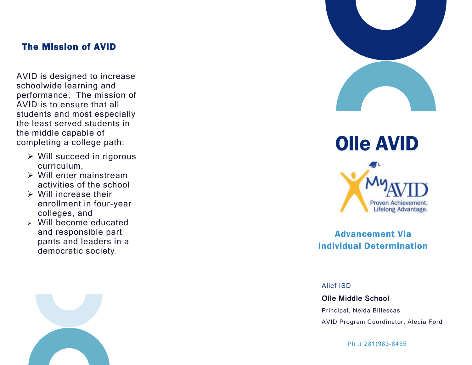#### The Mission of AVID

AVID is designed to increase schoolwide learning and performance. The mission of AVID is to ensure that all students and most especially the least served students in the middle capable of completing a college path:

- $\triangleright$  Will succeed in rigorous curriculum,
- Will enter mainstream activities of the school
- $\triangleright$  Will increase their enrollment in four -year colleges, and
- Will become educated and responsible part pants and leaders in a democratic society .







Advancement Via Individual Determination

Alief ISD

Olle Middle School Principal, Nelda Billescas

AVID Program Coordinator, Alecia Ford

Ph :( 281)983 -8455